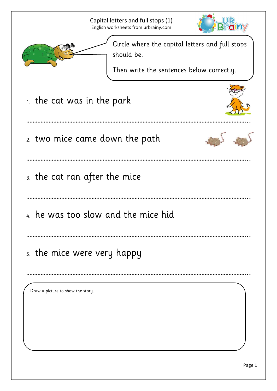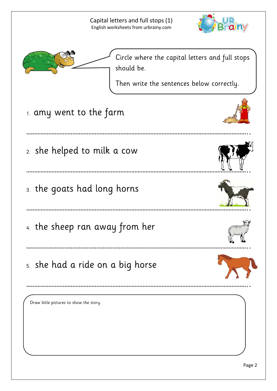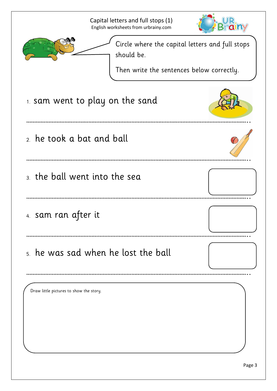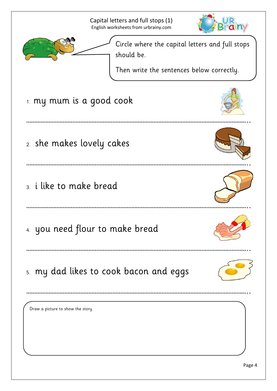